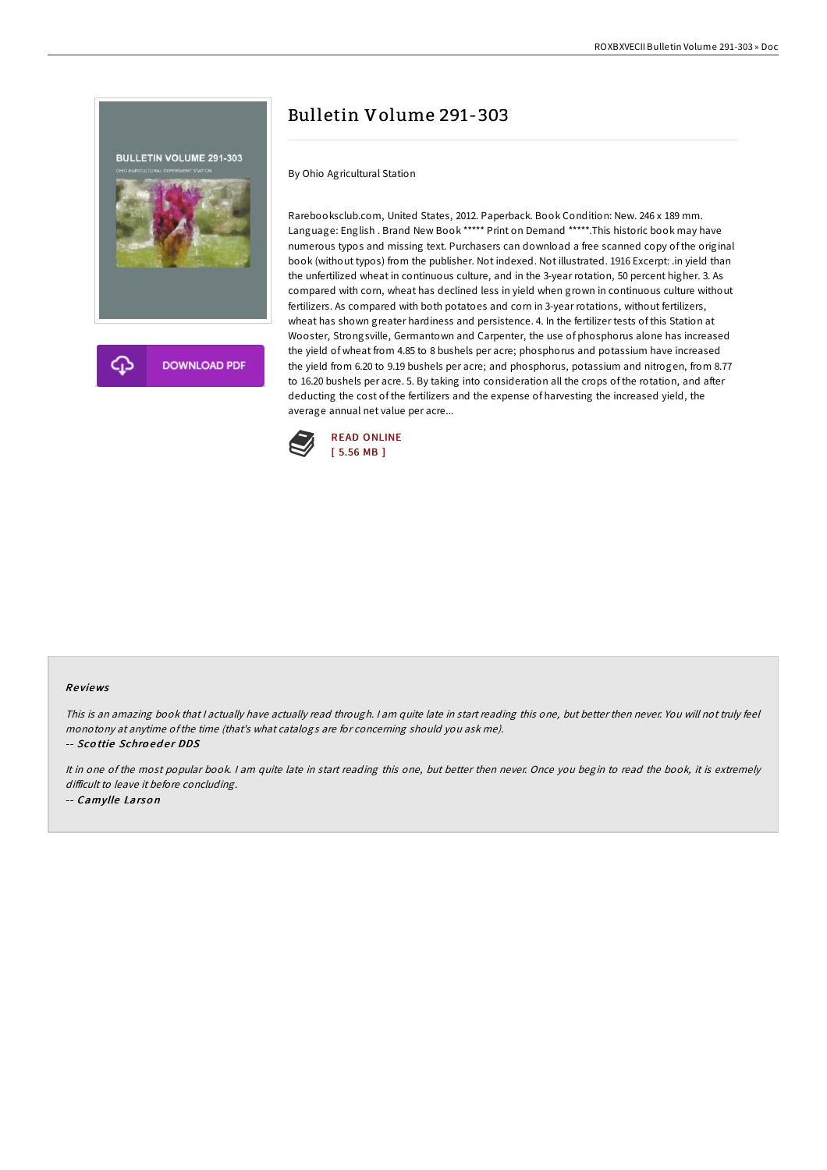

# Bulletin Volume 291-303

By Ohio Agricultural Station

Rarebooksclub.com, United States, 2012. Paperback. Book Condition: New. 246 x 189 mm. Language: English . Brand New Book \*\*\*\*\* Print on Demand \*\*\*\*\*.This historic book may have numerous typos and missing text. Purchasers can download a free scanned copy of the original book (without typos) from the publisher. Not indexed. Not illustrated. 1916 Excerpt: .in yield than the unfertilized wheat in continuous culture, and in the 3-year rotation, 50 percent higher. 3. As compared with corn, wheat has declined less in yield when grown in continuous culture without fertilizers. As compared with both potatoes and corn in 3-year rotations, without fertilizers, wheat has shown greater hardiness and persistence. 4. In the fertilizer tests of this Station at Wooster, Strongsville, Germantown and Carpenter, the use of phosphorus alone has increased the yield of wheat from 4.85 to 8 bushels per acre; phosphorus and potassium have increased the yield from 6.20 to 9.19 bushels per acre; and phosphorus, potassium and nitrogen, from 8.77 to 16.20 bushels per acre. 5. By taking into consideration all the crops of the rotation, and after deducting the cost of the fertilizers and the expense of harvesting the increased yield, the average annual net value per acre...



### Re views

This is an amazing book that <sup>I</sup> actually have actually read through. <sup>I</sup> am quite late in start reading this one, but better then never. You will not truly feel monotony at anytime ofthe time (that's what catalogs are for concerning should you ask me).

-- Scottie Schroeder DDS

It in one of the most popular book. <sup>I</sup> am quite late in start reading this one, but better then never. Once you begin to read the book, it is extremely difficult to leave it before concluding. -- Camylle Larso <sup>n</sup>